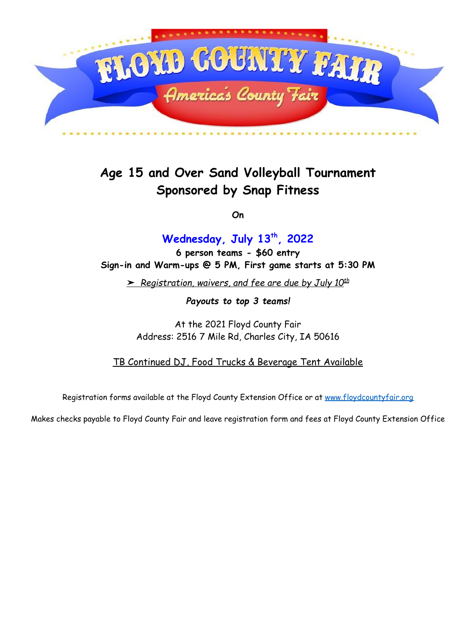

# **Age 15 and Over Sand Volleyball Tournament Sponsored by Snap Fitness**

**On**

## **Wednesday, July 13 th , 2022**

**6 person teams - \$60 entry Sign-in and Warm-ups @ 5 PM, First game starts at 5:30 PM**

➤ *Registration, waivers, and fee are due by July 10 th*

*Payouts to top 3 teams!*

At the 2021 Floyd County Fair Address: 2516 7 Mile Rd, Charles City, IA 50616

TB Continued DJ, Food Trucks & Beverage Tent Available

Registration forms available at the Floyd County Extension Office or at [www.floydcountyfair.org](http://www.floydcountyfair.org)

Makes checks payable to Floyd County Fair and leave registration form and fees at Floyd County Extension Office